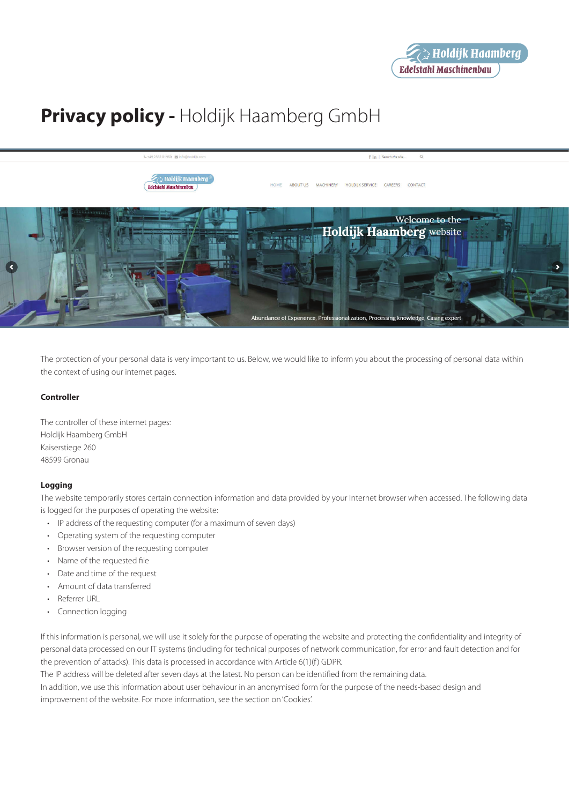# **Privacy policy -** Holdijk Haamberg GmbH



The protection of your personal data is very important to us. Below, we would like to inform you about the processing of personal data within the context of using our internet pages.

# **Controller**

The controller of these internet pages: Holdijk Haamberg GmbH Kaiserstiege 260 48599 Gronau

# **Logging**

The website temporarily stores certain connection information and data provided by your Internet browser when accessed. The following data is logged for the purposes of operating the website:

- IP address of the requesting computer (for a maximum of seven days)
- • Operating system of the requesting computer
- • Browser version of the requesting computer
- • Name of the requested file
- Date and time of the request
- • Amount of data transferred
- Referrer URL
- Connection logging

If this information is personal, we will use it solely for the purpose of operating the website and protecting the confidentiality and integrity of personal data processed on our IT systems (including for technical purposes of network communication, for error and fault detection and for the prevention of attacks). This data is processed in accordance with Article 6(1)(f) GDPR.

The IP address will be deleted after seven days at the latest. No person can be identified from the remaining data. In addition, we use this information about user behaviour in an anonymised form for the purpose of the needs-based design and improvement of the website. For more information, see the section on 'Cookies'.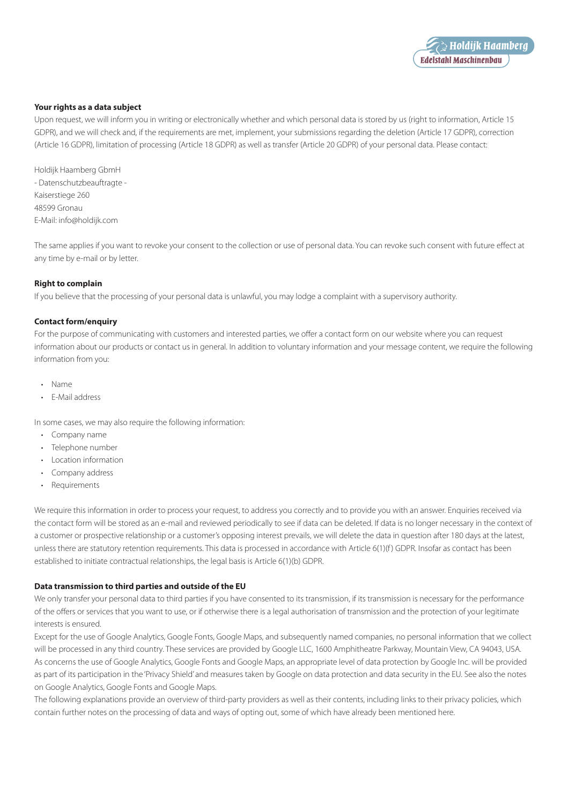

# **Your rights as a data subject**

Upon request, we will inform you in writing or electronically whether and which personal data is stored by us (right to information, Article 15 GDPR), and we will check and, if the requirements are met, implement, your submissions regarding the deletion (Article 17 GDPR), correction (Article 16 GDPR), limitation of processing (Article 18 GDPR) as well as transfer (Article 20 GDPR) of your personal data. Please contact:

Holdijk Haamberg GbmH - Datenschutzbeauftragte - Kaiserstiege 260 48599 Gronau E-Mail: info@holdijk.com

The same applies if you want to revoke your consent to the collection or use of personal data. You can revoke such consent with future effect at any time by e-mail or by letter.

# **Right to complain**

If you believe that the processing of your personal data is unlawful, you may lodge a complaint with a supervisory authority.

# **Contact form/enquiry**

For the purpose of communicating with customers and interested parties, we offer a contact form on our website where you can request information about our products or contact us in general. In addition to voluntary information and your message content, we require the following information from you:

- • Name
- E-Mail address

In some cases, we may also require the following information:

- • Company name
- • Telephone number
- • Location information
- Company address
- • Requirements

We require this information in order to process your request, to address you correctly and to provide you with an answer. Enquiries received via the contact form will be stored as an e-mail and reviewed periodically to see if data can be deleted. If data is no longer necessary in the context of a customer or prospective relationship or a customer's opposing interest prevails, we will delete the data in question after 180 days at the latest, unless there are statutory retention requirements. This data is processed in accordance with Article 6(1)(f) GDPR. Insofar as contact has been established to initiate contractual relationships, the legal basis is Article 6(1)(b) GDPR.

# **Data transmission to third parties and outside of the EU**

We only transfer your personal data to third parties if you have consented to its transmission, if its transmission is necessary for the performance of the offers or services that you want to use, or if otherwise there is a legal authorisation of transmission and the protection of your legitimate interests is ensured.

Except for the use of Google Analytics, Google Fonts, Google Maps, and subsequently named companies, no personal information that we collect will be processed in any third country. These services are provided by Google LLC, 1600 Amphitheatre Parkway, Mountain View, CA 94043, USA. As concerns the use of Google Analytics, Google Fonts and Google Maps, an appropriate level of data protection by Google Inc. will be provided as part of its participation in the 'Privacy Shield' and measures taken by Google on data protection and data security in the EU. See also the notes on Google Analytics, Google Fonts and Google Maps.

The following explanations provide an overview of third-party providers as well as their contents, including links to their privacy policies, which contain further notes on the processing of data and ways of opting out, some of which have already been mentioned here.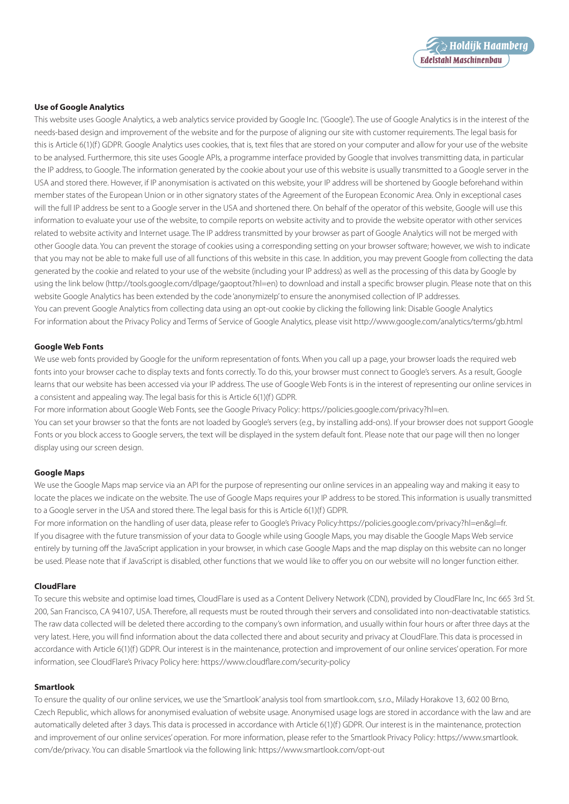

# **Use of Google Analytics**

This website uses Google Analytics, a web analytics service provided by Google Inc. ('Google'). The use of Google Analytics is in the interest of the needs-based design and improvement of the website and for the purpose of aligning our site with customer requirements. The legal basis for this is Article 6(1)(f) GDPR. Google Analytics uses cookies, that is, text files that are stored on your computer and allow for your use of the website to be analysed. Furthermore, this site uses Google APIs, a programme interface provided by Google that involves transmitting data, in particular the IP address, to Google. The information generated by the cookie about your use of this website is usually transmitted to a Google server in the USA and stored there. However, if IP anonymisation is activated on this website, your IP address will be shortened by Google beforehand within member states of the European Union or in other signatory states of the Agreement of the European Economic Area. Only in exceptional cases will the full IP address be sent to a Google server in the USA and shortened there. On behalf of the operator of this website, Google will use this information to evaluate your use of the website, to compile reports on website activity and to provide the website operator with other services related to website activity and Internet usage. The IP address transmitted by your browser as part of Google Analytics will not be merged with other Google data. You can prevent the storage of cookies using a corresponding setting on your browser software; however, we wish to indicate that you may not be able to make full use of all functions of this website in this case. In addition, you may prevent Google from collecting the data generated by the cookie and related to your use of the website (including your IP address) as well as the processing of this data by Google by using the link below (http://tools.google.com/dlpage/gaoptout?hl=en) to download and install a specific browser plugin. Please note that on this website Google Analytics has been extended by the code 'anonymizeIp' to ensure the anonymised collection of IP addresses. You can prevent Google Analytics from collecting data using an opt-out cookie by clicking the following link: Disable Google Analytics For information about the Privacy Policy and Terms of Service of Google Analytics, please visit http://www.google.com/analytics/terms/gb.html

## **Google Web Fonts**

We use web fonts provided by Google for the uniform representation of fonts. When you call up a page, your browser loads the required web fonts into your browser cache to display texts and fonts correctly. To do this, your browser must connect to Google's servers. As a result, Google learns that our website has been accessed via your IP address. The use of Google Web Fonts is in the interest of representing our online services in a consistent and appealing way. The legal basis for this is Article  $6(1)(f)$  GDPR.

For more information about Google Web Fonts, see the Google Privacy Policy: https://policies.google.com/privacy?hl=en. You can set your browser so that the fonts are not loaded by Google's servers (e.g., by installing add-ons). If your browser does not support Google Fonts or you block access to Google servers, the text will be displayed in the system default font. Please note that our page will then no longer display using our screen design.

#### **Google Maps**

We use the Google Maps map service via an API for the purpose of representing our online services in an appealing way and making it easy to locate the places we indicate on the website. The use of Google Maps requires your IP address to be stored. This information is usually transmitted to a Google server in the USA and stored there. The legal basis for this is Article 6(1)(f) GDPR.

For more information on the handling of user data, please refer to Google's Privacy Policy:https://policies.google.com/privacy?hl=en&gl=fr. If you disagree with the future transmission of your data to Google while using Google Maps, you may disable the Google Maps Web service entirely by turning off the JavaScript application in your browser, in which case Google Maps and the map display on this website can no longer be used. Please note that if JavaScript is disabled, other functions that we would like to offer you on our website will no longer function either.

#### **CloudFlare**

To secure this website and optimise load times, CloudFlare is used as a Content Delivery Network (CDN), provided by CloudFlare Inc, Inc 665 3rd St. 200, San Francisco, CA 94107, USA. Therefore, all requests must be routed through their servers and consolidated into non-deactivatable statistics. The raw data collected will be deleted there according to the company's own information, and usually within four hours or after three days at the very latest. Here, you will find information about the data collected there and about security and privacy at CloudFlare. This data is processed in accordance with Article 6(1)(f) GDPR. Our interest is in the maintenance, protection and improvement of our online services' operation. For more information, see CloudFlare's Privacy Policy here: https://www.cloudflare.com/security-policy

# **Smartlook**

To ensure the quality of our online services, we use the 'Smartlook' analysis tool from smartlook.com, s.r.o., Milady Horakove 13, 602 00 Brno, Czech Republic, which allows for anonymised evaluation of website usage. Anonymised usage logs are stored in accordance with the law and are automatically deleted after 3 days. This data is processed in accordance with Article 6(1)(f) GDPR. Our interest is in the maintenance, protection and improvement of our online services' operation. For more information, please refer to the Smartlook Privacy Policy: https://www.smartlook. com/de/privacy. You can disable Smartlook via the following link: https://www.smartlook.com/opt-out